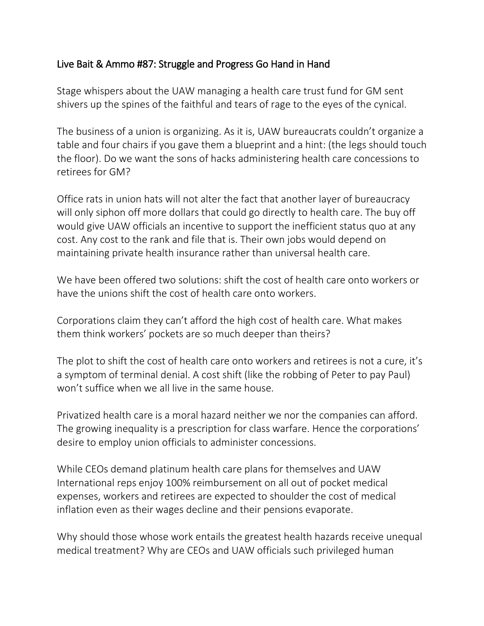## Live Bait & Ammo #87: Struggle and Progress Go Hand in Hand

Stage whispers about the UAW managing a health care trust fund for GM sent shivers up the spines of the faithful and tears of rage to the eyes of the cynical.

The business of a union is organizing. As it is, UAW bureaucrats couldn't organize a table and four chairs if you gave them a blueprint and a hint: (the legs should touch the floor). Do we want the sons of hacks administering health care concessions to retirees for GM?

Office rats in union hats will not alter the fact that another layer of bureaucracy will only siphon off more dollars that could go directly to health care. The buy off would give UAW officials an incentive to support the inefficient status quo at any cost. Any cost to the rank and file that is. Their own jobs would depend on maintaining private health insurance rather than universal health care.

We have been offered two solutions: shift the cost of health care onto workers or have the unions shift the cost of health care onto workers.

Corporations claim they can't afford the high cost of health care. What makes them think workers' pockets are so much deeper than theirs?

The plot to shift the cost of health care onto workers and retirees is not a cure, it's a symptom of terminal denial. A cost shift (like the robbing of Peter to pay Paul) won't suffice when we all live in the same house.

Privatized health care is a moral hazard neither we nor the companies can afford. The growing inequality is a prescription for class warfare. Hence the corporations' desire to employ union officials to administer concessions.

While CEOs demand platinum health care plans for themselves and UAW International reps enjoy 100% reimbursement on all out of pocket medical expenses, workers and retirees are expected to shoulder the cost of medical inflation even as their wages decline and their pensions evaporate.

Why should those whose work entails the greatest health hazards receive unequal medical treatment? Why are CEOs and UAW officials such privileged human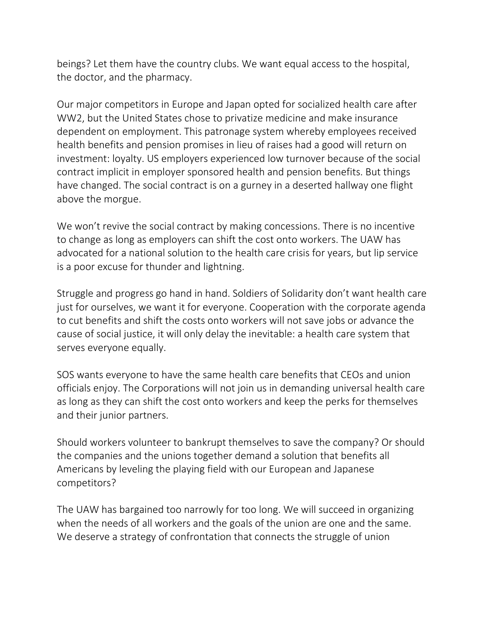beings? Let them have the country clubs. We want equal access to the hospital, the doctor, and the pharmacy.

Our major competitors in Europe and Japan opted for socialized health care after WW2, but the United States chose to privatize medicine and make insurance dependent on employment. This patronage system whereby employees received health benefits and pension promises in lieu of raises had a good will return on investment: loyalty. US employers experienced low turnover because of the social contract implicit in employer sponsored health and pension benefits. But things have changed. The social contract is on a gurney in a deserted hallway one flight above the morgue.

We won't revive the social contract by making concessions. There is no incentive to change as long as employers can shift the cost onto workers. The UAW has advocated for a national solution to the health care crisis for years, but lip service is a poor excuse for thunder and lightning.

Struggle and progress go hand in hand. Soldiers of Solidarity don't want health care just for ourselves, we want it for everyone. Cooperation with the corporate agenda to cut benefits and shift the costs onto workers will not save jobs or advance the cause of social justice, it will only delay the inevitable: a health care system that serves everyone equally.

SOS wants everyone to have the same health care benefits that CEOs and union officials enjoy. The Corporations will not join us in demanding universal health care as long as they can shift the cost onto workers and keep the perks for themselves and their junior partners.

Should workers volunteer to bankrupt themselves to save the company? Or should the companies and the unions together demand a solution that benefits all Americans by leveling the playing field with our European and Japanese competitors?

The UAW has bargained too narrowly for too long. We will succeed in organizing when the needs of all workers and the goals of the union are one and the same. We deserve a strategy of confrontation that connects the struggle of union